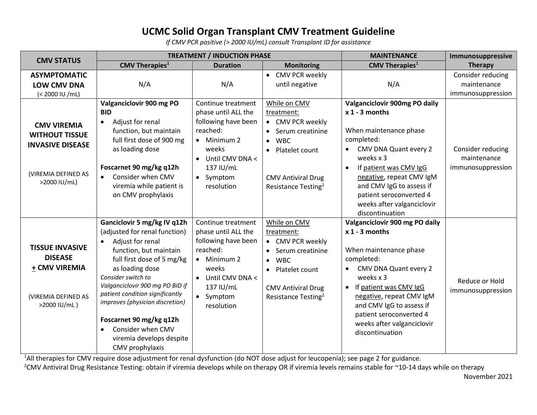## **UCMC Solid Organ Transplant CMV Treatment Guideline**

*If CMV PCR positive (> 2000 IU/mL) consult Transplant ID for assistance*

|                                                                                                               | <b>TREATMENT / INDUCTION PHASE</b>                                                                                                                                                                                                                                                                                                                                                                     |                                                                                                                                                                         |                                                                                                                                                                                              | <b>MAINTENANCE</b>                                                                                                                                                                                                                                                                               | Immunosuppressive                                     |
|---------------------------------------------------------------------------------------------------------------|--------------------------------------------------------------------------------------------------------------------------------------------------------------------------------------------------------------------------------------------------------------------------------------------------------------------------------------------------------------------------------------------------------|-------------------------------------------------------------------------------------------------------------------------------------------------------------------------|----------------------------------------------------------------------------------------------------------------------------------------------------------------------------------------------|--------------------------------------------------------------------------------------------------------------------------------------------------------------------------------------------------------------------------------------------------------------------------------------------------|-------------------------------------------------------|
| <b>CMV STATUS</b>                                                                                             | $CMV$ Therapies <sup>1</sup>                                                                                                                                                                                                                                                                                                                                                                           | <b>Duration</b>                                                                                                                                                         | <b>Monitoring</b>                                                                                                                                                                            | <b>CMV Therapies</b> <sup>1</sup>                                                                                                                                                                                                                                                                | <b>Therapy</b>                                        |
| <b>ASYMPTOMATIC</b><br><b>LOW CMV DNA</b><br>(< 2000 IU /mL)                                                  | N/A                                                                                                                                                                                                                                                                                                                                                                                                    | N/A                                                                                                                                                                     | CMV PCR weekly<br>$\bullet$<br>until negative                                                                                                                                                | N/A                                                                                                                                                                                                                                                                                              | Consider reducing<br>maintenance<br>immunosuppression |
| <b>CMV VIREMIA</b><br><b>WITHOUT TISSUE</b><br><b>INVASIVE DISEASE</b><br>(VIREMIA DEFINED AS<br>>2000 IU/mL) | Valganciclovir 900 mg PO<br><b>BID</b><br>Adjust for renal<br>$\bullet$<br>function, but maintain<br>full first dose of 900 mg<br>as loading dose<br>Foscarnet 90 mg/kg q12h<br>Consider when CMV<br>$\bullet$<br>viremia while patient is<br>on CMV prophylaxis                                                                                                                                       | Continue treatment<br>phase until ALL the<br>following have been<br>reached:<br>$\bullet$ Minimum 2<br>weeks<br>Until CMV DNA <<br>137 IU/mL<br>• Symptom<br>resolution | While on CMV<br>treatment:<br>• CMV PCR weekly<br>Serum creatinine<br><b>WBC</b><br>$\bullet$<br>Platelet count<br>$\bullet$<br><b>CMV Antiviral Drug</b><br>Resistance Testing <sup>2</sup> | Valganciclovir 900mg PO daily<br>$x$ 1 - 3 months<br>When maintenance phase<br>completed:<br>CMV DNA Quant every 2<br>weeks x 3<br>If patient was CMV IgG<br>negative, repeat CMV IgM<br>and CMV IgG to assess if<br>patient seroconverted 4<br>weeks after valganciclovir<br>discontinuation    | Consider reducing<br>maintenance<br>immunosuppression |
| <b>TISSUE INVASIVE</b><br><b>DISEASE</b><br>+ CMV VIREMIA<br>(VIREMIA DEFINED AS<br>>2000 IU/mL)              | Ganciclovir 5 mg/kg IV q12h<br>(adjusted for renal function)<br>Adjust for renal<br>$\bullet$<br>function, but maintain<br>full first dose of 5 mg/kg<br>as loading dose<br>Consider switch to<br>Valganciclovir 900 mg PO BID if<br>patient condition significantly<br>improves (physician discretion)<br>Foscarnet 90 mg/kg q12h<br>Consider when CMV<br>viremia develops despite<br>CMV prophylaxis | Continue treatment<br>phase until ALL the<br>following have been<br>reached:<br>$\bullet$ Minimum 2<br>weeks<br>Until CMV DNA <<br>137 IU/mL<br>• Symptom<br>resolution | While on CMV<br>treatment:<br>• CMV PCR weekly<br>Serum creatinine<br><b>WBC</b><br>$\bullet$<br>Platelet count<br>$\bullet$<br><b>CMV Antiviral Drug</b><br>Resistance Testing <sup>2</sup> | Valganciclovir 900 mg PO daily<br>$x$ 1 - 3 months<br>When maintenance phase<br>completed:<br>CMV DNA Quant every 2<br>weeks $x$ 3<br>If patient was CMV IgG<br>negative, repeat CMV IgM<br>and CMV IgG to assess if<br>patient seroconverted 4<br>weeks after valganciclovir<br>discontinuation | Reduce or Hold<br>immunosuppression                   |

<sup>1</sup>All therapies for CMV require dose adjustment for renal dysfunction (do NOT dose adjust for leucopenia); see page 2 for guidance.

<sup>2</sup>CMV Antiviral Drug Resistance Testing: obtain if viremia develops while on therapy OR if viremia levels remains stable for ~10-14 days while on therapy